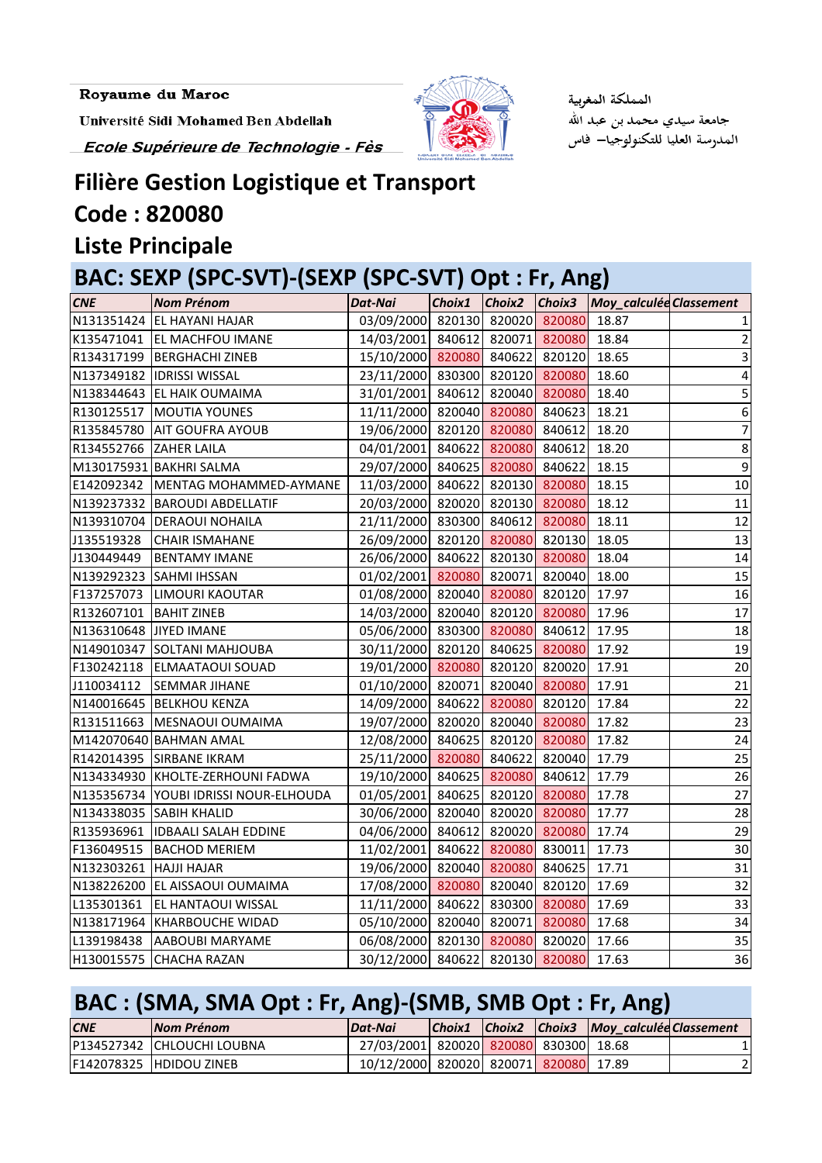Université Sidi Mohamed Ben Abdellah

Ecole Supérieure de Technologie - Fès



المملكة المغوبية جامعة سيدي محمد بن عبد الله المدرسة العليا للتكنولوجيا— فاس

### **Filière Gestion Logistique et Transport Code : 820080**

#### **Liste Principale**

## **BAC: SEXP (SPC-SVT)-(SEXP (SPC-SVT) Opt : Fr, Ang)**

| <b>CNE</b>               | <b>Nom Prénom</b>                     | Dat-Nai                         | Choix1 Choix2 Choix3 |        |               | Moy_calculée Classement |                  |
|--------------------------|---------------------------------------|---------------------------------|----------------------|--------|---------------|-------------------------|------------------|
|                          | N131351424 EL HAYANI HAJAR            | 03/09/2000 820130 820020 820080 |                      |        |               | 18.87                   |                  |
|                          | K135471041 EL MACHFOU IMANE           | 14/03/2001 840612 820071        |                      |        | 820080        | 18.84                   | 2                |
|                          | R134317199 BERGHACHI ZINEB            | 15/10/2000 820080 840622 820120 |                      |        |               | 18.65                   | 3                |
|                          | N137349182 IDRISSI WISSAL             | 23/11/2000 830300 820120 820080 |                      |        |               | 18.60                   | 4                |
|                          | N138344643 EL HAIK OUMAIMA            | 31/01/2001 840612 820040 820080 |                      |        |               | 18.40                   | 5                |
|                          | R130125517   MOUTIA YOUNES            | 11/11/2000 820040 820080 840623 |                      |        |               | 18.21                   | 6                |
|                          | R135845780 AIT GOUFRA AYOUB           | 19/06/2000 820120 820080        |                      |        | 840612        | 18.20                   | $\overline{7}$   |
| R134552766 ZAHER LAILA   |                                       | 04/01/2001 840622 820080 840612 |                      |        |               | 18.20                   | $\bf 8$          |
|                          | M130175931 BAKHRI SALMA               | 29/07/2000 840625 820080 840622 |                      |        |               | 18.15                   | $\boldsymbol{9}$ |
|                          | E142092342   MENTAG MOHAMMED-AYMANE   | 11/03/2000 840622 820130 820080 |                      |        |               | 18.15                   | 10               |
|                          | N139237332 BAROUDI ABDELLATIF         | 20/03/2000 820020 820130 820080 |                      |        |               | 18.12                   | 11               |
|                          | N139310704 DERAOUI NOHAILA            | 21/11/2000 830300 840612        |                      |        | 820080        | 18.11                   | 12               |
| J135519328               | <b>CHAIR ISMAHANE</b>                 | 26/09/2000 820120 820080 820130 |                      |        |               | 18.05                   | 13               |
| J130449449               | <b>BENTAMY IMANE</b>                  | 26/06/2000 840622 820130 820080 |                      |        |               | 18.04                   | 14               |
|                          | N139292323 SAHMI IHSSAN               | 01/02/2001 820080 820071 820040 |                      |        |               | 18.00                   | 15               |
|                          | F137257073 LIMOURI KAOUTAR            | 01/08/2000 820040 820080 820120 |                      |        |               | 17.97                   | 16               |
| R132607101   BAHIT ZINEB |                                       | 14/03/2000 820040 820120        |                      |        | 820080        | 17.96                   | 17               |
| N136310648 JIYED IMANE   |                                       | 05/06/2000 830300 820080        |                      |        | 840612        | 17.95                   | 18               |
|                          | N149010347 SOLTANI MAHJOUBA           | 30/11/2000 820120 840625 820080 |                      |        |               | 17.92                   | 19               |
|                          | F130242118 ELMAATAOUI SOUAD           | 19/01/2000 820080 820120 820020 |                      |        |               | 17.91                   | 20               |
| J110034112               | <b>SEMMAR JIHANE</b>                  | 01/10/2000 820071 820040 820080 |                      |        |               | 17.91                   | 21               |
|                          | N140016645 BELKHOU KENZA              | 14/09/2000 840622 820080        |                      |        | 820120        | 17.84                   | $\overline{22}$  |
|                          | R131511663   MESNAOUI OUMAIMA         | 19/07/2000 820020 820040 820080 |                      |        |               | 17.82                   | 23               |
|                          | M142070640 BAHMAN AMAL                | 12/08/2000 840625 820120 820080 |                      |        |               | 17.82                   | 24               |
|                          | R142014395 SIRBANE IKRAM              | 25/11/2000 820080 840622        |                      |        | 820040        | 17.79                   | 25               |
|                          | N134334930 KHOLTE-ZERHOUNI FADWA      | 19/10/2000 840625 820080 840612 |                      |        |               | 17.79                   | 26               |
|                          | N135356734 YOUBI IDRISSI NOUR-ELHOUDA | 01/05/2001 840625 820120 820080 |                      |        |               | 17.78                   | 27               |
|                          | N134338035 SABIH KHALID               | 30/06/2000 820040 820020 820080 |                      |        |               | 17.77                   | 28               |
|                          | R135936961  IDBAALI SALAH EDDINE      | 04/06/2000 840612 820020 820080 |                      |        |               | 17.74                   | 29               |
|                          | F136049515 BACHOD MERIEM              | 11/02/2001 840622 820080 830011 |                      |        |               | 17.73                   | 30               |
| N132303261 HAJJI HAJAR   |                                       | 19/06/2000 820040 820080 840625 |                      |        |               | 17.71                   | 31               |
| N138226200               | EL AISSAOUI OUMAIMA                   | 17/08/2000                      | 820080               | 820040 | 820120        | 17.69                   | 32               |
| L135301361               | EL HANTAOUI WISSAL                    | 11/11/2000                      | 840622               | 830300 | 820080        | 17.69                   | 33               |
| N138171964               | <b>KHARBOUCHE WIDAD</b>               | 05/10/2000                      | 820040               | 820071 | 820080        | 17.68                   | 34               |
| L139198438               | AABOUBI MARYAME                       | 06/08/2000                      | 820130               | 820080 | 820020        | 17.66                   | 35               |
| H130015575               | <b>CHACHA RAZAN</b>                   | 30/12/2000                      | 840622               |        | 820130 820080 | 17.63                   | 36               |

### **BAC : (SMA, SMA Opt : Fr, Ang)-(SMB, SMB Opt : Fr, Ang)**

| <b>CNE</b> | <b>INom Prénom</b>           | Dat-Nai                               |  | Choix1 Choix2 Choix3 Moy_calculée Classement |  |
|------------|------------------------------|---------------------------------------|--|----------------------------------------------|--|
|            | IP134527342 ICHLOUCHI LOUBNA | 27/03/2001 820020 820080 830300 18.68 |  |                                              |  |
|            | IF142078325 IHDIDOU ZINEB    | 10/12/2000 820020 820071 820080 17.89 |  |                                              |  |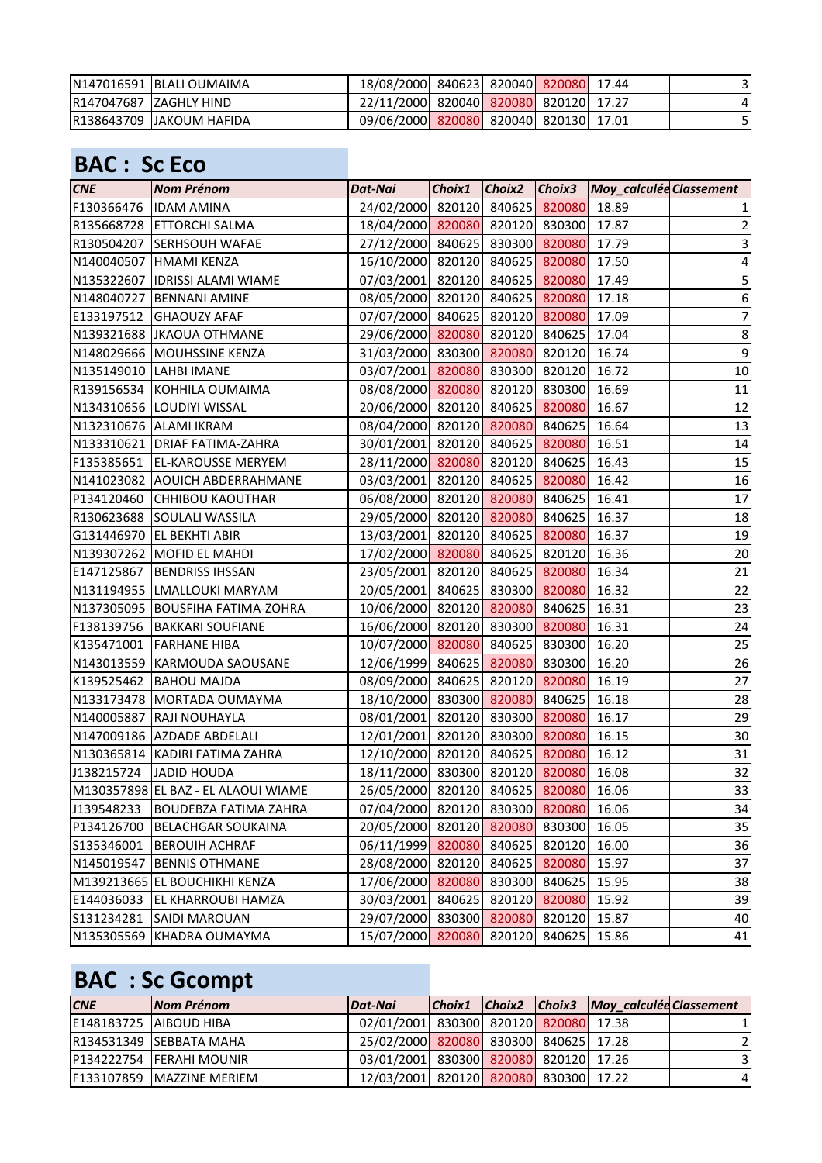| IN147016591 IBLALI OUMAIMA | 18/08/2000 840623 820040 820080 17.44 |  |  |  |
|----------------------------|---------------------------------------|--|--|--|
| IR147047687 IZAGHLY HIND   | 22/11/2000 820040 820080 820120 17.27 |  |  |  |
| IR138643709 IJAKOUM HAFIDA | 09/06/2000 820080 820040 820130 17.01 |  |  |  |

### **BAC : Sc Eco**

| <b>CNE</b> | <b>Nom Prénom</b>                   | Dat-Nai                               |        |               |               | Choix1   Choix2   Choix3   Moy_calculée Classement |                           |
|------------|-------------------------------------|---------------------------------------|--------|---------------|---------------|----------------------------------------------------|---------------------------|
|            | F130366476  IDAM AMINA              | 24/02/2000 820120 840625 820080       |        |               |               | 18.89                                              | $\mathbf 1$               |
|            | R135668728 ETTORCHI SALMA           | 18/04/2000 820080 820120 830300       |        |               |               | 17.87                                              | $\mathbf 2$               |
|            | R130504207 SERHSOUH WAFAE           | 27/12/2000 840625 830300 820080       |        |               |               | 17.79                                              | $\ensuremath{\mathsf{3}}$ |
|            | N140040507 HMAMI KENZA              | 16/10/2000 820120 840625 820080       |        |               |               | 17.50                                              | $\overline{a}$            |
|            | N135322607  IDRISSI ALAMI WIAME     | 07/03/2001 820120 840625 820080       |        |               |               | 17.49                                              | $\mathsf S$               |
|            | N148040727 BENNANI AMINE            | 08/05/2000 820120 840625 820080       |        |               |               | 17.18                                              | $\boldsymbol{6}$          |
| E133197512 | <b>GHAOUZY AFAF</b>                 | 07/07/2000 840625 820120 820080       |        |               |               | 17.09                                              | $\overline{7}$            |
|            | N139321688 JKAOUA OTHMANE           | 29/06/2000 820080 820120 840625       |        |               |               | 17.04                                              | $\bf 8$                   |
|            | N148029666 MOUHSSINE KENZA          | 31/03/2000 830300 820080 820120       |        |               |               | 16.74                                              | $\boldsymbol{9}$          |
|            | N135149010 LAHBI IMANE              | 03/07/2001 820080 830300 820120       |        |               |               | 16.72                                              | 10                        |
|            | R139156534 KOHHILA OUMAIMA          | 08/08/2000 820080 820120 830300       |        |               |               | 16.69                                              | 11                        |
|            | N134310656 LOUDIYI WISSAL           | 20/06/2000 820120 840625 820080       |        |               |               | 16.67                                              | 12                        |
|            | N132310676 ALAMI IKRAM              | 08/04/2000 820120 820080 840625       |        |               |               | 16.64                                              | 13                        |
|            | N133310621 DRIAF FATIMA-ZAHRA       | 30/01/2001 820120 840625 820080       |        |               |               | 16.51                                              | 14                        |
|            | F135385651 EL-KAROUSSE MERYEM       | 28/11/2000 820080 820120 840625       |        |               |               | 16.43                                              | 15                        |
|            | N141023082 AOUICH ABDERRAHMANE      | 03/03/2001 820120 840625 820080       |        |               |               | 16.42                                              | 16                        |
| P134120460 | <b>CHHIBOU KAOUTHAR</b>             | 06/08/2000 820120 820080 840625       |        |               |               | 16.41                                              | 17                        |
|            | R130623688 SOULALI WASSILA          | 29/05/2000 820120 820080 840625       |        |               |               | 16.37                                              | 18                        |
|            | G131446970 EL BEKHTI ABIR           | 13/03/2001 820120 840625 820080       |        |               |               | 16.37                                              | 19                        |
|            | N139307262 MOFID EL MAHDI           | 17/02/2000 820080 840625 820120       |        |               |               | 16.36                                              | 20                        |
|            | E147125867 BENDRISS IHSSAN          | 23/05/2001 820120 840625 820080       |        |               |               | 16.34                                              | 21                        |
|            | N131194955 LMALLOUKI MARYAM         | 20/05/2001 840625 830300 820080       |        |               |               | 16.32                                              | 22                        |
|            | N137305095 BOUSFIHA FATIMA-ZOHRA    | 10/06/2000 820120 820080 840625       |        |               |               | 16.31                                              | 23                        |
|            | F138139756 BAKKARI SOUFIANE         | 16/06/2000 820120 830300 820080       |        |               |               | 16.31                                              | 24                        |
|            | K135471001 FARHANE HIBA             | 10/07/2000 820080 840625 830300       |        |               |               | 16.20                                              | 25                        |
|            | N143013559 KARMOUDA SAOUSANE        | 12/06/1999 840625 820080 830300       |        |               |               | 16.20                                              | 26                        |
| K139525462 | <b>BAHOU MAJDA</b>                  | 08/09/2000 840625 820120 820080       |        |               |               | 16.19                                              | 27                        |
|            | N133173478 MORTADA OUMAYMA          | 18/10/2000 830300 820080              |        |               | 840625        | 16.18                                              | 28                        |
|            | N140005887 RAJI NOUHAYLA            | 08/01/2001 820120 830300 820080       |        |               |               | 16.17                                              | 29                        |
|            | N147009186 AZDADE ABDELALI          | 12/01/2001 820120 830300 820080       |        |               |               | 16.15                                              | 30                        |
|            | N130365814 KADIRI FATIMA ZAHRA      | 12/10/2000 820120 840625 820080 16.12 |        |               |               |                                                    | 31                        |
| J138215724 | JADID HOUDA                         | 18/11/2000 830300 820120 820080       |        |               |               | 16.08                                              | 32                        |
|            | M130357898 EL BAZ - EL ALAOUI WIAME | 26/05/2000 820120 840625 820080       |        |               |               | 16.06                                              | 33                        |
| J139548233 | <b>BOUDEBZA FATIMA ZAHRA</b>        | 07/04/2000 820120 830300 820080       |        |               |               | 16.06                                              | 34                        |
| P134126700 | <b>BELACHGAR SOUKAINA</b>           | 20/05/2000                            |        | 820120 820080 | 830300        | 16.05                                              | 35                        |
| S135346001 | <b>BEROUIH ACHRAF</b>               | 06/11/1999                            | 820080 | 840625        | 820120        | 16.00                                              | 36                        |
| N145019547 | <b>BENNIS OTHMANE</b>               | 28/08/2000 820120 840625              |        |               | 820080        | 15.97                                              | 37                        |
|            | M139213665 EL BOUCHIKHI KENZA       | 17/06/2000                            | 820080 | 830300        | 840625        | 15.95                                              | 38                        |
| E144036033 | <b>EL KHARROUBI HAMZA</b>           | 30/03/2001                            | 840625 |               | 820120 820080 | 15.92                                              | 39                        |
| S131234281 | SAIDI MAROUAN                       | 29/07/2000                            |        | 830300 820080 | 820120        | 15.87                                              | 40                        |
| N135305569 | KHADRA OUMAYMA                      | 15/07/2000                            | 820080 | 820120        | 840625        | 15.86                                              | 41                        |

# **BAC : Sc Gcompt**

| <b>CNE</b> | Nom Prénom                       | <i><b>Dat-Nai</b></i>                 |  | Choix1 Choix2 Choix3 Moy calculée Classement |                |
|------------|----------------------------------|---------------------------------------|--|----------------------------------------------|----------------|
|            | E148183725 AIBOUD HIBA           | 02/01/2001 830300 820120 820080 17.38 |  |                                              |                |
|            | R134531349 SEBBATA MAHA          | 25/02/2000 820080 830300 840625 17.28 |  |                                              |                |
|            | P134222754 FERAHI MOUNIR         | 03/01/2001 830300 820080 820120 17.26 |  |                                              | 3              |
|            | <b>F133107859 MAZZINE MERIEM</b> | 12/03/2001 820120 820080 830300 17.22 |  |                                              | $\overline{4}$ |